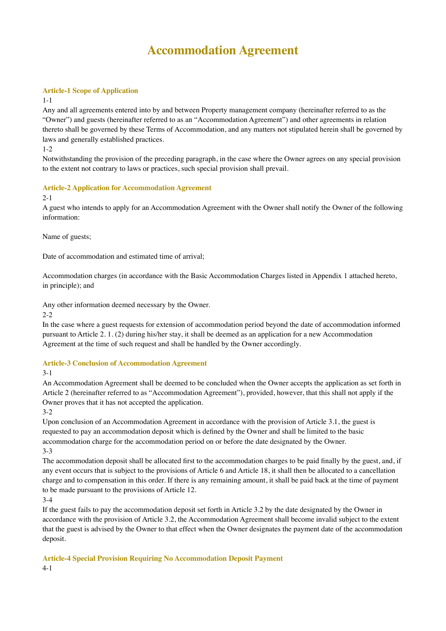# **Accommodation Agreement**

# **Article-1 Scope of Application**

## 1-1

Any and all agreements entered into by and between Property management company (hereinafter referred to as the "Owner") and guests (hereinafter referred to as an "Accommodation Agreement") and other agreements in relation thereto shall be governed by these Terms of Accommodation, and any matters not stipulated herein shall be governed by laws and generally established practices.

1-2

Notwithstanding the provision of the preceding paragraph, in the case where the Owner agrees on any special provision to the extent not contrary to laws or practices, such special provision shall prevail.

# **Article-2 Application for Accommodation Agreement**

# 2-1

A guest who intends to apply for an Accommodation Agreement with the Owner shall notify the Owner of the following information:

Name of guests;

Date of accommodation and estimated time of arrival;

Accommodation charges (in accordance with the Basic Accommodation Charges listed in Appendix 1 attached hereto, in principle); and

Any other information deemed necessary by the Owner.

2-2

In the case where a guest requests for extension of accommodation period beyond the date of accommodation informed pursuant to Article 2. 1. (2) during his/her stay, it shall be deemed as an application for a new Accommodation Agreement at the time of such request and shall be handled by the Owner accordingly.

# **Article-3 Conclusion of Accommodation Agreement**

3-1

An Accommodation Agreement shall be deemed to be concluded when the Owner accepts the application as set forth in Article 2 (hereinafter referred to as "Accommodation Agreement"), provided, however, that this shall not apply if the Owner proves that it has not accepted the application.

3-2

Upon conclusion of an Accommodation Agreement in accordance with the provision of Article 3.1, the guest is requested to pay an accommodation deposit which is defined by the Owner and shall be limited to the basic accommodation charge for the accommodation period on or before the date designated by the Owner. 3-3

The accommodation deposit shall be allocated first to the accommodation charges to be paid finally by the guest, and, if any event occurs that is subject to the provisions of Article 6 and Article 18, it shall then be allocated to a cancellation charge and to compensation in this order. If there is any remaining amount, it shall be paid back at the time of payment to be made pursuant to the provisions of Article 12.

3-4

If the guest fails to pay the accommodation deposit set forth in Article 3.2 by the date designated by the Owner in accordance with the provision of Article 3.2, the Accommodation Agreement shall become invalid subject to the extent that the guest is advised by the Owner to that effect when the Owner designates the payment date of the accommodation deposit.

**Article-4 Special Provision Requiring No Accommodation Deposit Payment** 4-1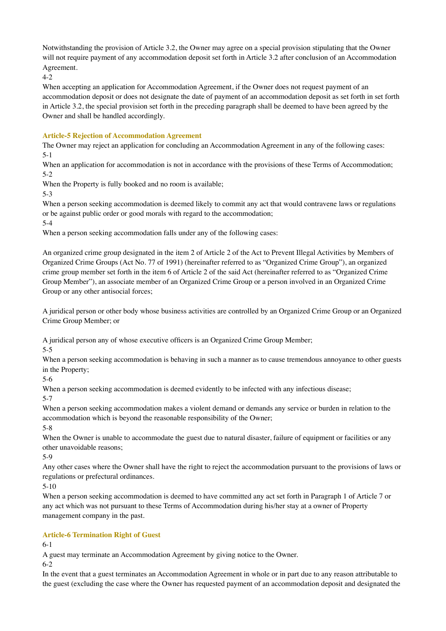Notwithstanding the provision of Article 3.2, the Owner may agree on a special provision stipulating that the Owner will not require payment of any accommodation deposit set forth in Article 3.2 after conclusion of an Accommodation Agreement.

4-2

When accepting an application for Accommodation Agreement, if the Owner does not request payment of an accommodation deposit or does not designate the date of payment of an accommodation deposit as set forth in set forth in Article 3.2, the special provision set forth in the preceding paragraph shall be deemed to have been agreed by the Owner and shall be handled accordingly.

# **Article-5 Rejection of Accommodation Agreement**

The Owner may reject an application for concluding an Accommodation Agreement in any of the following cases: 5-1

When an application for accommodation is not in accordance with the provisions of these Terms of Accommodation; 5-2

When the Property is fully booked and no room is available;

5-3

When a person seeking accommodation is deemed likely to commit any act that would contravene laws or regulations or be against public order or good morals with regard to the accommodation;

5-4

When a person seeking accommodation falls under any of the following cases:

An organized crime group designated in the item 2 of Article 2 of the Act to Prevent Illegal Activities by Members of Organized Crime Groups (Act No. 77 of 1991) (hereinafter referred to as "Organized Crime Group"), an organized crime group member set forth in the item 6 of Article 2 of the said Act (hereinafter referred to as "Organized Crime Group Member"), an associate member of an Organized Crime Group or a person involved in an Organized Crime Group or any other antisocial forces;

A juridical person or other body whose business activities are controlled by an Organized Crime Group or an Organized Crime Group Member; or

A juridical person any of whose executive officers is an Organized Crime Group Member;

5-5

When a person seeking accommodation is behaving in such a manner as to cause tremendous annoyance to other guests in the Property;

5-6

When a person seeking accommodation is deemed evidently to be infected with any infectious disease;

5-7

When a person seeking accommodation makes a violent demand or demands any service or burden in relation to the accommodation which is beyond the reasonable responsibility of the Owner;

5-8

When the Owner is unable to accommodate the guest due to natural disaster, failure of equipment or facilities or any other unavoidable reasons;

5-9

Any other cases where the Owner shall have the right to reject the accommodation pursuant to the provisions of laws or regulations or prefectural ordinances.

5-10

When a person seeking accommodation is deemed to have committed any act set forth in Paragraph 1 of Article 7 or any act which was not pursuant to these Terms of Accommodation during his/her stay at a owner of Property management company in the past.

# **Article-6 Termination Right of Guest**

6-1

A guest may terminate an Accommodation Agreement by giving notice to the Owner.

6-2

In the event that a guest terminates an Accommodation Agreement in whole or in part due to any reason attributable to the guest (excluding the case where the Owner has requested payment of an accommodation deposit and designated the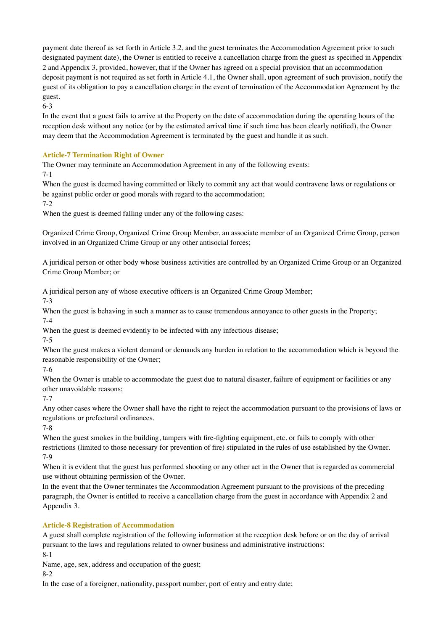payment date thereof as set forth in Article 3.2, and the guest terminates the Accommodation Agreement prior to such designated payment date), the Owner is entitled to receive a cancellation charge from the guest as specified in Appendix 2 and Appendix 3, provided, however, that if the Owner has agreed on a special provision that an accommodation deposit payment is not required as set forth in Article 4.1, the Owner shall, upon agreement of such provision, notify the guest of its obligation to pay a cancellation charge in the event of termination of the Accommodation Agreement by the guest.

6-3

In the event that a guest fails to arrive at the Property on the date of accommodation during the operating hours of the reception desk without any notice (or by the estimated arrival time if such time has been clearly notified), the Owner may deem that the Accommodation Agreement is terminated by the guest and handle it as such.

# **Article-7 Termination Right of Owner**

The Owner may terminate an Accommodation Agreement in any of the following events:

7-1

When the guest is deemed having committed or likely to commit any act that would contravene laws or regulations or be against public order or good morals with regard to the accommodation;

7-2

When the guest is deemed falling under any of the following cases:

Organized Crime Group, Organized Crime Group Member, an associate member of an Organized Crime Group, person involved in an Organized Crime Group or any other antisocial forces;

A juridical person or other body whose business activities are controlled by an Organized Crime Group or an Organized Crime Group Member; or

A juridical person any of whose executive officers is an Organized Crime Group Member;

7-3

When the guest is behaving in such a manner as to cause tremendous annoyance to other guests in the Property;

7-4

When the guest is deemed evidently to be infected with any infectious disease;

7-5

When the guest makes a violent demand or demands any burden in relation to the accommodation which is beyond the reasonable responsibility of the Owner;

7-6

When the Owner is unable to accommodate the guest due to natural disaster, failure of equipment or facilities or any other unavoidable reasons;

7-7

Any other cases where the Owner shall have the right to reject the accommodation pursuant to the provisions of laws or regulations or prefectural ordinances.

7-8

When the guest smokes in the building, tampers with fire-fighting equipment, etc. or fails to comply with other restrictions (limited to those necessary for prevention of fire) stipulated in the rules of use established by the Owner. 7-9

When it is evident that the guest has performed shooting or any other act in the Owner that is regarded as commercial use without obtaining permission of the Owner.

In the event that the Owner terminates the Accommodation Agreement pursuant to the provisions of the preceding paragraph, the Owner is entitled to receive a cancellation charge from the guest in accordance with Appendix 2 and Appendix 3.

# **Article-8 Registration of Accommodation**

A guest shall complete registration of the following information at the reception desk before or on the day of arrival pursuant to the laws and regulations related to owner business and administrative instructions: 8-1

Name, age, sex, address and occupation of the guest;

8-2

In the case of a foreigner, nationality, passport number, port of entry and entry date;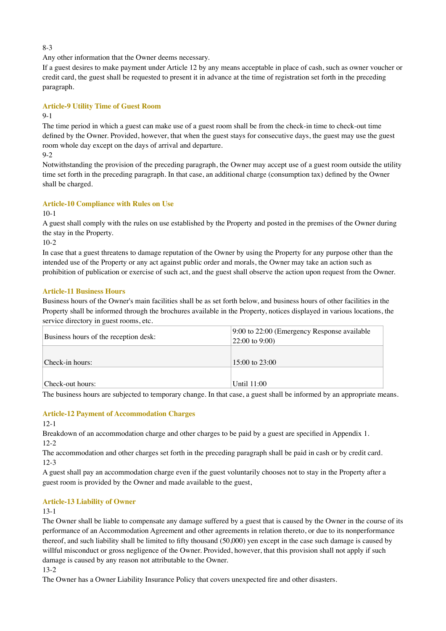8-3

Any other information that the Owner deems necessary.

If a guest desires to make payment under Article 12 by any means acceptable in place of cash, such as owner voucher or credit card, the guest shall be requested to present it in advance at the time of registration set forth in the preceding paragraph.

# **Article-9 Utility Time of Guest Room**

## 9-1

The time period in which a guest can make use of a guest room shall be from the check-in time to check-out time defined by the Owner. Provided, however, that when the guest stays for consecutive days, the guest may use the guest room whole day except on the days of arrival and departure.

 $9-2$ 

Notwithstanding the provision of the preceding paragraph, the Owner may accept use of a guest room outside the utility time set forth in the preceding paragraph. In that case, an additional charge (consumption tax) defined by the Owner shall be charged.

# **Article-10 Compliance with Rules on Use**

10-1

A guest shall comply with the rules on use established by the Property and posted in the premises of the Owner during the stay in the Property.

10-2

In case that a guest threatens to damage reputation of the Owner by using the Property for any purpose other than the intended use of the Property or any act against public order and morals, the Owner may take an action such as prohibition of publication or exercise of such act, and the guest shall observe the action upon request from the Owner.

# **Article-11 Business Hours**

Business hours of the Owner's main facilities shall be as set forth below, and business hours of other facilities in the Property shall be informed through the brochures available in the Property, notices displayed in various locations, the service directory in guest rooms, etc.

| Business hours of the reception desk: | 9:00 to 22:00 (Emergency Response available<br>$22:00$ to 9:00) |  |
|---------------------------------------|-----------------------------------------------------------------|--|
| Check-in hours:                       | $15:00$ to $23:00$                                              |  |
| Check-out hours:                      | Until 11:00                                                     |  |

The business hours are subjected to temporary change. In that case, a guest shall be informed by an appropriate means.

# **Article-12 Payment of Accommodation Charges**

12-1

Breakdown of an accommodation charge and other charges to be paid by a guest are specified in Appendix 1. 12-2

The accommodation and other charges set forth in the preceding paragraph shall be paid in cash or by credit card. 12-3

A guest shall pay an accommodation charge even if the guest voluntarily chooses not to stay in the Property after a guest room is provided by the Owner and made available to the guest,

## **Article-13 Liability of Owner**

## 13-1

The Owner shall be liable to compensate any damage suffered by a guest that is caused by the Owner in the course of its performance of an Accommodation Agreement and other agreements in relation thereto, or due to its nonperformance thereof, and such liability shall be limited to fifty thousand (50,000) yen except in the case such damage is caused by willful misconduct or gross negligence of the Owner. Provided, however, that this provision shall not apply if such damage is caused by any reason not attributable to the Owner.

13-2

The Owner has a Owner Liability Insurance Policy that covers unexpected fire and other disasters.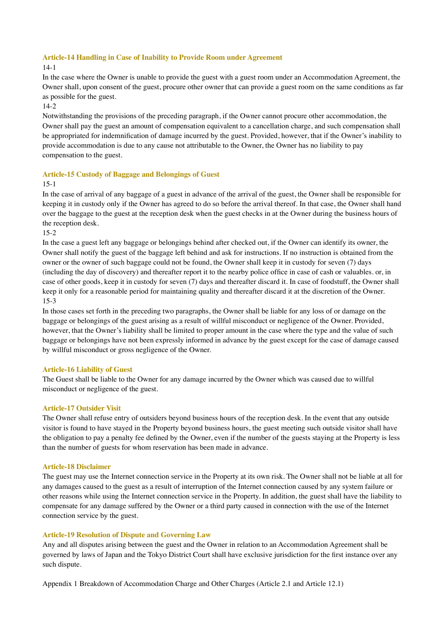### **Article-14 Handling in Case of Inability to Provide Room under Agreement**

## 14-1

In the case where the Owner is unable to provide the guest with a guest room under an Accommodation Agreement, the Owner shall, upon consent of the guest, procure other owner that can provide a guest room on the same conditions as far as possible for the guest.

# 14-2

Notwithstanding the provisions of the preceding paragraph, if the Owner cannot procure other accommodation, the Owner shall pay the guest an amount of compensation equivalent to a cancellation charge, and such compensation shall be appropriated for indemnification of damage incurred by the guest. Provided, however, that if the Owner's inability to provide accommodation is due to any cause not attributable to the Owner, the Owner has no liability to pay compensation to the guest.

## **Article-15 Custody of Baggage and Belongings of Guest**

15-1

In the case of arrival of any baggage of a guest in advance of the arrival of the guest, the Owner shall be responsible for keeping it in custody only if the Owner has agreed to do so before the arrival thereof. In that case, the Owner shall hand over the baggage to the guest at the reception desk when the guest checks in at the Owner during the business hours of the reception desk.

15-2

In the case a guest left any baggage or belongings behind after checked out, if the Owner can identify its owner, the Owner shall notify the guest of the baggage left behind and ask for instructions. If no instruction is obtained from the owner or the owner of such baggage could not be found, the Owner shall keep it in custody for seven (7) days (including the day of discovery) and thereafter report it to the nearby police office in case of cash or valuables. or, in case of other goods, keep it in custody for seven (7) days and thereafter discard it. In case of foodstuff, the Owner shall keep it only for a reasonable period for maintaining quality and thereafter discard it at the discretion of the Owner. 15-3

In those cases set forth in the preceding two paragraphs, the Owner shall be liable for any loss of or damage on the baggage or belongings of the guest arising as a result of willful misconduct or negligence of the Owner. Provided, however, that the Owner's liability shall be limited to proper amount in the case where the type and the value of such baggage or belongings have not been expressly informed in advance by the guest except for the case of damage caused by willful misconduct or gross negligence of the Owner.

## **Article-16 Liability of Guest**

The Guest shall be liable to the Owner for any damage incurred by the Owner which was caused due to willful misconduct or negligence of the guest.

## **Article-17 Outsider Visit**

The Owner shall refuse entry of outsiders beyond business hours of the reception desk. In the event that any outside visitor is found to have stayed in the Property beyond business hours, the guest meeting such outside visitor shall have the obligation to pay a penalty fee defined by the Owner, even if the number of the guests staying at the Property is less than the number of guests for whom reservation has been made in advance.

### **Article-18 Disclaimer**

The guest may use the Internet connection service in the Property at its own risk. The Owner shall not be liable at all for any damages caused to the guest as a result of interruption of the Internet connection caused by any system failure or other reasons while using the Internet connection service in the Property. In addition, the guest shall have the liability to compensate for any damage suffered by the Owner or a third party caused in connection with the use of the Internet connection service by the guest.

## **Article-19 Resolution of Dispute and Governing Law**

Any and all disputes arising between the guest and the Owner in relation to an Accommodation Agreement shall be governed by laws of Japan and the Tokyo District Court shall have exclusive jurisdiction for the first instance over any such dispute.

Appendix 1 Breakdown of Accommodation Charge and Other Charges (Article 2.1 and Article 12.1)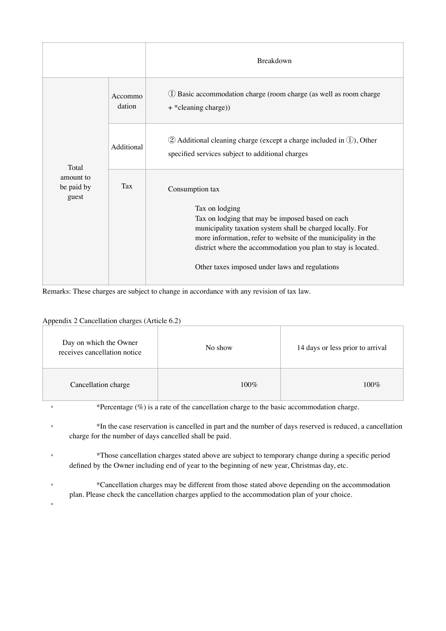|                                  |                   | <b>Breakdown</b>                                                                                                                                                                                                                                                                                                                        |
|----------------------------------|-------------------|-----------------------------------------------------------------------------------------------------------------------------------------------------------------------------------------------------------------------------------------------------------------------------------------------------------------------------------------|
|                                  | Accommo<br>dation | (1) Basic accommodation charge (room charge (as well as room charge<br>+ * cleaning charge))                                                                                                                                                                                                                                            |
| Total                            | Additional        | $(2)$ Additional cleaning charge (except a charge included in $(1)$ ), Other<br>specified services subject to additional charges                                                                                                                                                                                                        |
| amount to<br>be paid by<br>guest | Tax               | Consumption tax<br>Tax on lodging<br>Tax on lodging that may be imposed based on each<br>municipality taxation system shall be charged locally. For<br>more information, refer to website of the municipality in the<br>district where the accommodation you plan to stay is located.<br>Other taxes imposed under laws and regulations |

Remarks: These charges are subject to change in accordance with any revision of tax law.

# Appendix 2 Cancellation charges (Article 6.2)

| Day on which the Owner<br>receives cancellation notice | No show | 14 days or less prior to arrival |
|--------------------------------------------------------|---------|----------------------------------|
| Cancellation charge                                    | $100\%$ | $100\%$                          |

•

• \*Percentage (%) is a rate of the cancellation charge to the basic accommodation charge.

• \*In the case reservation is cancelled in part and the number of days reserved is reduced, a cancellation charge for the number of days cancelled shall be paid.

• \*Those cancellation charges stated above are subject to temporary change during a specific period defined by the Owner including end of year to the beginning of new year, Christmas day, etc.

• \*Cancellation charges may be different from those stated above depending on the accommodation plan. Please check the cancellation charges applied to the accommodation plan of your choice.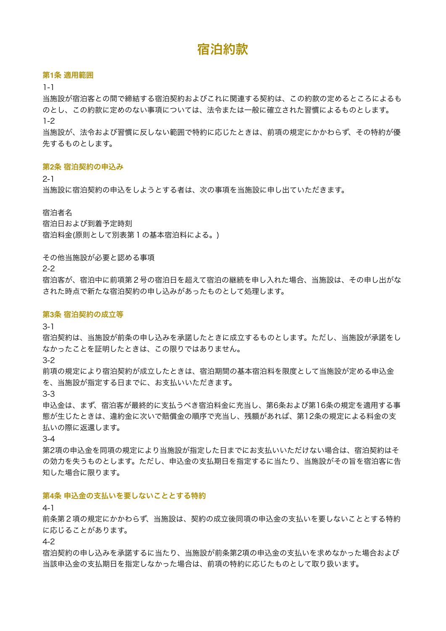# 宿泊約款

### 第**1**条 適用範囲

1-1

当施設が宿泊客との間で締結する宿泊契約およびこれに関連する契約は、この約款の定めるところによるも のとし、この約款に定めのない事項については、法令または一般に確立された習慣によるものとします。 1-2

当施設が、法令および習慣に反しない範囲で特約に応じたときは、前項の規定にかかわらず、その特約が優 先するものとします。

### 第**2**条 宿泊契約の申込み

2-1

当施設に宿泊契約の申込をしようとする者は、次の事項を当施設に申し出ていただきます。

### 宿泊者名

宿泊日および到着予定時刻 宿泊料金(原則として別表第1の基本宿泊料による。)

その他当施設が必要と認める事項

2-2

宿泊客が、宿泊中に前項第2号の宿泊日を超えて宿泊の継続を申し入れた場合、当施設は、その申し出がな された時点で新たな宿泊契約の申し込みがあったものとして処理します。

#### 第**3**条 宿泊契約の成立等

3-1

宿泊契約は、当施設が前条の申し込みを承諾したときに成立するものとします。ただし、当施設が承諾をし なかったことを証明したときは、この限りではありません。

3-2

前項の規定により宿泊契約が成立したときは、宿泊期間の基本宿泊料を限度として当施設が定める申込金 を、当施設が指定する日までに、お支払いいただきます。

3-3

申込金は、まず、宿泊客が最終的に支払うべき宿泊料金に充当し、第6条および第16条の規定を適用する事 態が生じたときは、違約金に次いで賠償金の順序で充当し、残額があれば、第12条の規定による料金の支 払いの際に返還します。

3-4

第2項の申込金を同項の規定により当施設が指定した日までにお支払いいただけない場合は、宿泊契約はそ の効力を失うものとします。ただし、申込金の支払期日を指定するに当たり、当施設がその旨を宿泊客に告 知した場合に限ります。

### 第**4**条 申込金の支払いを要しないこととする特約

4-1

前条第2項の規定にかかわらず、当施設は、契約の成立後同項の申込金の支払いを要しないこととする特約 に応じることがあります。

4-2

宿泊契約の申し込みを承諾するに当たり、当施設が前条第2項の申込金の支払いを求めなかった場合および 当該申込金の支払期日を指定しなかった場合は、前項の特約に応じたものとして取り扱います。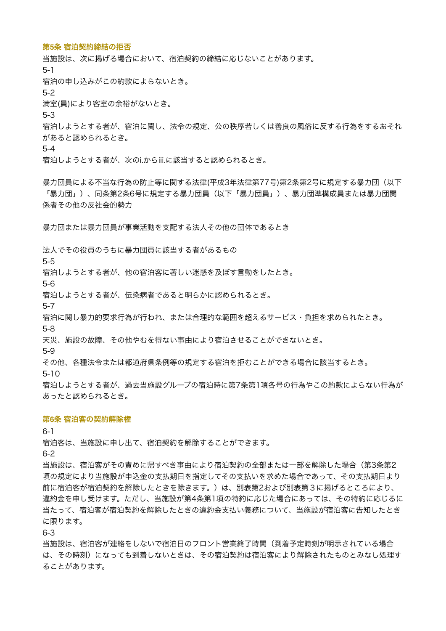### 第**5**条 宿泊契約締結の拒否

当施設は、次に掲げる場合において、宿泊契約の締結に応じないことがあります。 5-1 宿泊の申し込みがこの約款によらないとき。 5-2 満室(員)により客室の余裕がないとき。 5-3 宿泊しようとする者が、宿泊に関し、法令の規定、公の秩序若しくは善良の風俗に反する行為をするおそれ があると認められるとき。 5-4

宿泊しようとする者が、次のi.からiii.に該当すると認められるとき。

暴力団員による不当な行為の防止等に関する法律(平成3年法律第77号)第2条第2号に規定する暴力団(以下 「暴力団」)、同条第2条6号に規定する暴力団員(以下「暴力団員」)、暴力団準構成員または暴力団関 係者その他の反社会的勢力

暴力団または暴力団員が事業活動を支配する法人その他の団体であるとき

法人でその役員のうちに暴力団員に該当する者があるもの

5-5

宿泊しようとする者が、他の宿泊客に著しい迷惑を及ぼす言動をしたとき。

5-6

宿泊しようとする者が、伝染病者であると明らかに認められるとき。

5-7

宿泊に関し暴力的要求行為が行われ、または合理的な範囲を超えるサービス・負担を求められたとき。 5-8

天災、施設の故障、その他やむを得ない事由により宿泊させることができないとき。

5-9

その他、各種法令または都道府県条例等の規定する宿泊を拒むことができる場合に該当するとき。

5-10

宿泊しようとする者が、過去当施設グループの宿泊時に第7条第1項各号の行為やこの約款によらない行為が あったと認められるとき。

### 第**6**条 宿泊客の契約解除権

6-1

宿泊客は、当施設に申し出て、宿泊契約を解除することができます。

6-2

当施設は、宿泊客がその責めに帰すべき事由により宿泊契約の全部または一部を解除した場合(第3条第2 項の規定により当施設が申込金の支払期日を指定してその支払いを求めた場合であって、その支払期日より 前に宿泊客が宿泊契約を解除したときを除きます。)は、別表第2および別表第3に掲げるところにより、 違約金を申し受けます。ただし、当施設が第4条第1項の特約に応じた場合にあっては、その特約に応じるに 当たって、宿泊客が宿泊契約を解除したときの違約金支払い義務について、当施設が宿泊客に告知したとき に限ります。

6-3

当施設は、宿泊客が連絡をしないで宿泊日のフロント営業終了時間(到着予定時刻が明示されている場合 は、その時刻)になっても到着しないときは、その宿泊契約は宿泊客により解除されたものとみなし処理す ることがあります。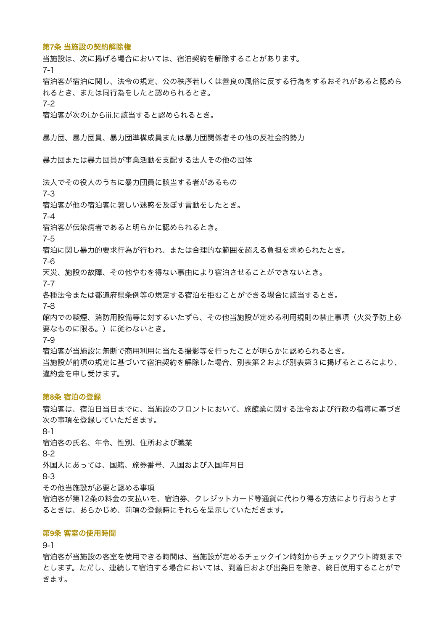## 第**7**条 当施設の契約解除権

当施設は、次に掲げる場合においては、宿泊契約を解除することがあります。

7-1

宿泊客が宿泊に関し、法令の規定、公の秩序若しくは善良の風俗に反する行為をするおそれがあると認めら れるとき、または同行為をしたと認められるとき。

7-2

宿泊客が次のi.からiii.に該当すると認められるとき。

暴力団、暴力団員、暴力団準構成員または暴力団関係者その他の反社会的勢力

暴力団または暴力団員が事業活動を支配する法人その他の団体

法人でその役人のうちに暴力団員に該当する者があるもの

7-3

宿泊客が他の宿泊客に著しい迷惑を及ぼす言動をしたとき。

7-4

宿泊客が伝染病者であると明らかに認められるとき。

7-5

宿泊に関し暴力的要求行為が行われ、または合理的な範囲を超える負担を求められたとき。

7-6

天災、施設の故障、その他やむを得ない事由により宿泊させることができないとき。

7-7

各種法令または都道府県条例等の規定する宿泊を拒むことができる場合に該当するとき。

7-8

館内での喫煙、消防用設備等に対するいたずら、その他当施設が定める利用規則の禁止事項(火災予防上必 要なものに限る。)に従わないとき。

7-9

宿泊客が当施設に無断で商用利用に当たる撮影等を行ったことが明らかに認められるとき。 当施設が前項の規定に基づいて宿泊契約を解除した場合、別表第2および別表第3に掲げるところにより、 違約金を申し受けます。

## 第**8**条 宿泊の登録

宿泊客は、宿泊日当日までに、当施設のフロントにおいて、旅館業に関する法令および行政の指導に基づき 次の事項を登録していただきます。 8-1 宿泊客の氏名、年令、性別、住所および職業 8-2 外国人にあっては、国籍、旅券番号、入国および入国年月日

8-3

その他当施設が必要と認める事項

宿泊客が第12条の料金の支払いを、宿泊券、クレジットカード等通貨に代わり得る方法により行おうとす るときは、あらかじめ、前項の登録時にそれらを呈示していただきます。

## 第**9**条 客室の使用時間

9-1

宿泊客が当施設の客室を使用できる時間は、当施設が定めるチェックイン時刻からチェックアウト時刻まで とします。ただし、連続して宿泊する場合においては、到着日および出発日を除き、終日使用することがで きます。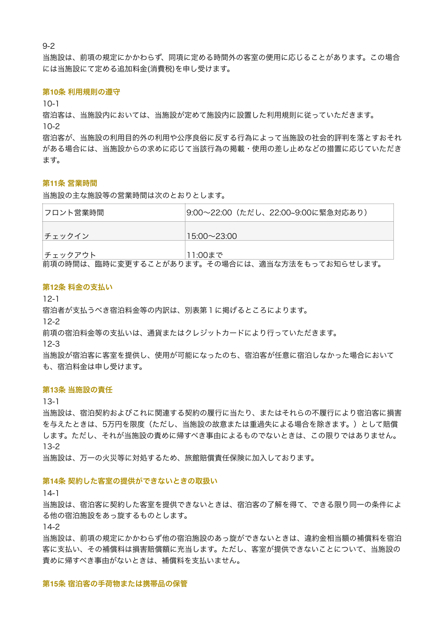9-2

当施設は、前項の規定にかかわらず、同項に定める時間外の客室の便用に応じることがあります。この場合 には当施設にて定める追加料金(消費税)を申し受けます。

## 第**10**条 利用規則の遵守

 $10-1$ 

宿泊客は、当施設内においては、当施設が定めて施設内に設置した利用規則に従っていただきます。 10-2

宿泊客が、当施設の利用目的外の利用や公序良俗に反する行為によって当施設の社会的評判を落とすおそれ がある場合には、当施設からの求めに応じて当該行為の掲載・使用の差し止めなどの措置に応じていただき ます。

### 第**11**条 営業時間

当施設の主な施設等の営業時間は次のとおりとします。

| フロント営業時間 | 9:00~22:00(ただし、22:00~9:00に緊急対応あり) |
|----------|-----------------------------------|
| チェックイン   | $15:00\rightarrow 23:00$          |
| チェックアウト  | 11:00まで                           |

前項の時間は、臨時に変更することがあります。その場合には、適当な方法をもってお知らせします。

### 第**12**条 料金の支払い

12-1

宿泊者が支払うべき宿泊料金等の内訳は、別表第1に掲げるところによります。

12-2

前項の宿泊料金等の支払いは、通貨またはクレジットカードにより行っていただきます。

12-3

当施設が宿泊客に客室を提供し、使用が可能になったのち、宿泊客が任意に宿泊しなかった場合において も、宿泊料金は申し受けます。

## 第**13**条 当施設の責任

13-1

当施設は、宿泊契約およびこれに関連する契約の履行に当たり、またはそれらの不履行により宿泊客に損害 を与えたときは、5万円を限度(ただし、当施設の故意または重過失による場合を除きます。)として賠償 します。ただし、それが当施設の責めに帰すべき事由によるものでないときは、この限りではありません。 13-2

当施設は、万一の火災等に対処するため、旅館賠償責任保険に加入しております。

### 第**14**条 契約した客室の提供ができないときの取扱い

14-1

当施設は、宿泊客に契約した客室を提供できないときは、宿泊客の了解を得て、できる限り同一の条件によ る他の宿泊施設をあっ旋するものとします。

14-2

当施設は、前項の規定にかかわらず他の宿泊施設のあっ旋ができないときは、違約金相当額の補償料を宿泊 客に支払い、その補償料は損害賠償額に充当します。ただし、客室が提供できないことについて、当施設の 責めに帰すべき事由がないときは、補償料を支払いません。

## 第**15**条 宿泊客の手荷物または携帯品の保管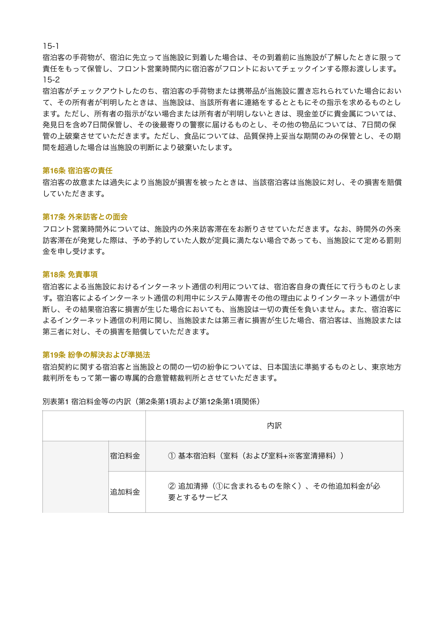15-1

宿泊客の手荷物が、宿泊に先立って当施設に到着した場合は、その到着前に当施設が了解したときに限って 責任をもって保管し、フロント営業時間内に宿泊客がフロントにおいてチェックインする際お渡しします。 15-2

宿泊客がチェックアウトしたのち、宿泊客の手荷物または携帯品が当施設に置き忘れられていた場合におい て、その所有者が判明したときは、当施設は、当該所有者に連絡をするとともにその指示を求めるものとし ます。ただし、所有者の指示がない場合または所有者が判明しないときは、現金並びに貴金属については、 発見日を含め7日間保管し、その後最寄りの警察に届けるものとし、その他の物品については、7日間の保 管の上破棄させていただきます。ただし、食品については、品質保持上妥当な期間のみの保管とし、その期 間を超過した場合は当施設の判断により破棄いたします。

### 第**16**条 宿泊客の責任

宿泊客の故意または過失により当施設が損害を被ったときは、当該宿泊客は当施設に対し、その損害を賠償 していただきます。

## 第**17**条 外来訪客との面会

フロント営業時間外については、施設内の外来訪客滞在をお断りさせていただきます。なお、時間外の外来 訪客滞在が発覚した際は、予め予約していた人数が定員に満たない場合であっても、当施設にて定める罰則 金を申し受けます。

### 第**18**条 免責事項

宿泊客による当施設におけるインターネット通信の利用については、宿泊客自身の責任にて行うものとしま す。宿泊客によるインターネット通信の利用中にシステム障害その他の理由によりインターネット通信が中 断し、その結果宿泊客に損害が生じた場合においても、当施設は一切の責任を負いません。また、宿泊客に よるインターネット通信の利用に関し、当施設または第三者に損害が生じた場合、宿泊客は、当施設または 第三者に対し、その損害を賠償していただきます。

### 第**19**条 紛争の解決および準拠法

宿泊契約に関する宿泊客と当施設との間の一切の紛争については、日本国法に準拠するものとし、東京地方 裁判所をもって第一審の専属的合意管轄裁判所とさせていただきます。

別表第1 宿泊料金等の内訳(第2条第1項および第12条第1項関係)

|      | 内訳                                          |  |
|------|---------------------------------------------|--|
| 宿泊料金 | (1) 基本宿泊料 (室料 (および室料+※客室清掃料))               |  |
| 追加料金 | ② 追加清掃 (1)に含まれるものを除く)、その他追加料金が必<br>要とするサービス |  |